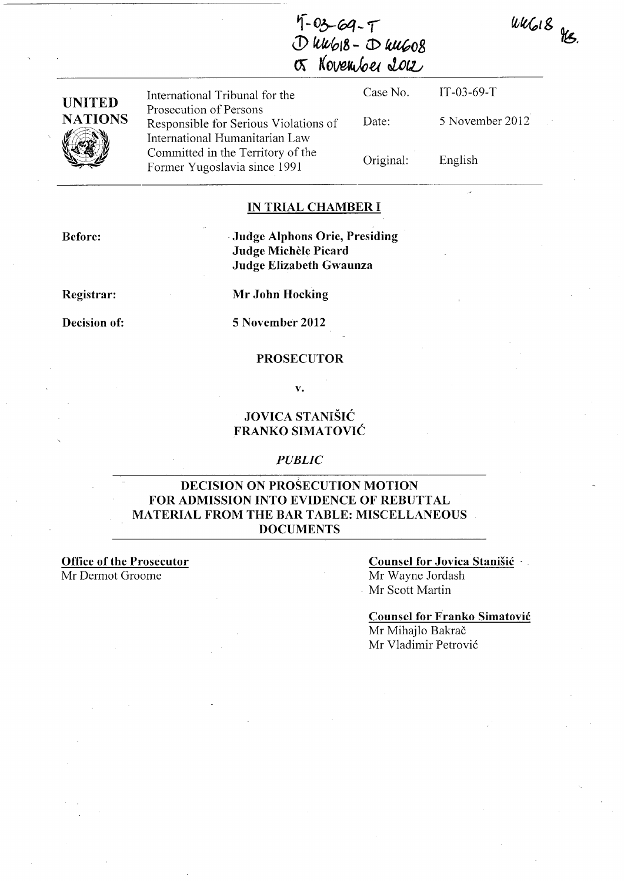$uvG18$  Hs.



| <b>UNITED</b><br><b>NATIONS</b> | International Tribunal for the                                                                    | Case No.  | $IT-03-69-T$    |
|---------------------------------|---------------------------------------------------------------------------------------------------|-----------|-----------------|
|                                 | Prosecution of Persons<br>Responsible for Serious Violations of<br>International Humanitarian Law | Date:     | 5 November 2012 |
|                                 | Committed in the Territory of the<br>Former Yugoslavia since 1991                                 | Original: | English         |

## **IN TRIAL CHAMBER I**

**Before:** 

## . **Judge Alphons Orie, Presiding Judge Michele Picard Judge Elizabeth Gwaunza**

**Registrar:** 

**Decision of:** 

**Mr John Hocking** 

**5 November 2012** 

## **PROSECUTOR**

**v.** 

## **JOVICA STANISIC FRANKO SIMATOVIC**

## *PUBLIC*

## **DECISION ON PROSECUTION MOTION FOR ADMISSION INTO EVIDENCE OF REBUTTAL MATERIAL FROM THE BAR TABLE: MISCELLANEOUS DOCUMENTS**

**Office of the Prosecutor**  Mr Dermot Groome

# **Counsel for Jovica Stanisic** .

Mr Wayne lordash . Mr Scott Martin

#### **Counsel for Franko Simatovic**

Mr Mihajlo Bakrač Mr Vladimir Petrovi6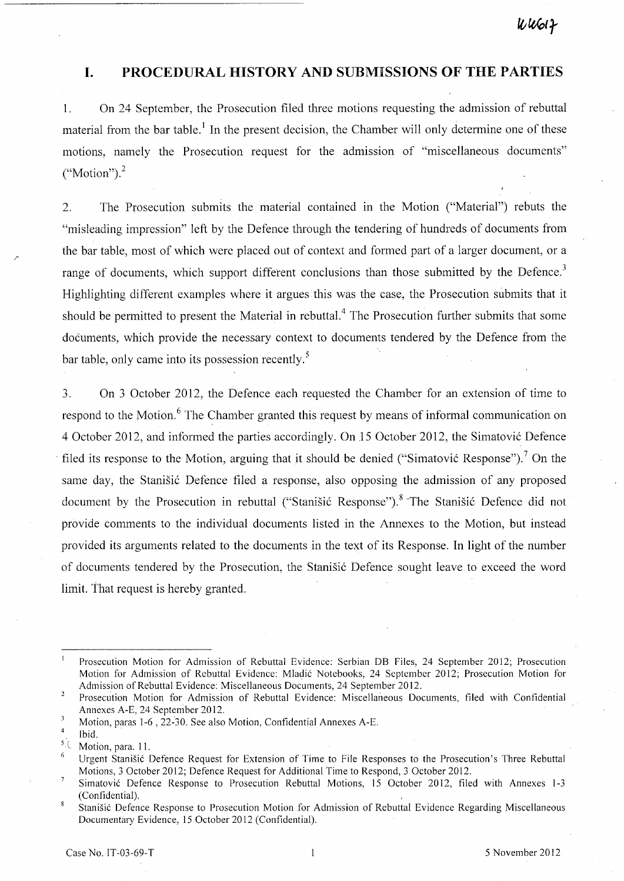## **I. PROCEDURAL HISTORY AND SUBMISSIONS OF THE PARTIES**

1. On 24 September, the Prosecution filed three motions requesting the admission of rebuttal material from the bar table.<sup>1</sup> In the present decision, the Chamber will only determine one of these motions, namely the Prosecution request for the admission of "miscellaneous documents"  $("Motion").<sup>2</sup>$ 

2. The Prosecution submits the material contained in the Motion ("Material") rebuts the "misleading impression" left by the Defence through the tendering of hundreds of documents from the bar table, most of which were placed out of context and formed part of a larger document, or a range of documents, which support different conclusions than those submitted by the Defence.<sup>3</sup> Highlighting different examples where it argues this was the case, the Prosecution submits that it should be permitted to present the Material in rebuttal.<sup>4</sup> The Prosecution further submits that some documents, which provide the necessary context to documents tendered by the Defence from the bar table, only came into its possession recently.<sup>5</sup>

3. On 3 October 2012, the Defence each requested the Chamber for an extension of time to respond to the Motion.<sup>6</sup> The Chamber granted this request by means of informal communication on 4 October 2012, and informed the parties accordingly. On 15 October 2012, the Simatović Defence filed its response to the Motion, arguing that it should be denied ("Simatović Response").<sup>7</sup> On the same day, the Stanisić Defence filed a response, also opposing the admission of any proposed document by the Prosecution in rebuttal ("Stanišić Response").<sup>8</sup> The Stanišić Defence did not provide comments to the individual documents listed in the Annexes to the Motion, but instead provided its arguments related to the documents in the text of its Response. In light of the number of documents tendered by the Prosecution, the Stanišić Defence sought leave to exceed the word limit. That request is hereby granted.

/'

Prosecution Motion for Admission of Rebuttal Evidence: Serbian DB Files, 24 September 2012; Prosecution Motion for Admission of Rebuttal Evidence: Mladic Notebooks, 24 September 2012; Prosecution Motion for Admission of Rebuttal Evidence: Miscellaneous Documents, 24 September 2012.

 $\overline{2}$ Prosecution Motion for Admission of Rebuttal Evidence: Miscellaneous Documents, filed with Confidential Annexes A-E, 24 September 2012.

 $\overline{\mathbf{3}}$ Motion, paras 1-6 , 22~30. See also Motion, Confidential Annexes A-E.

<sup>4</sup>  Ibid.

<sup>&</sup>lt;sup>5</sup><sup>(</sup> Motion, para. 11.

Urgent Stanisic Defence Request for Extension of Time to File Responses to the Prosecution's Three Rebuttal Motions,3 October 2012; Defence Request for Additional Time to Respond, 3 October 2012.

 $\overline{7}$ Simatovic Defence Response to Prosecution Rebuttal Motions, 15 October 2012, filed with Annexes 1-3 (Confidential).

 $\overline{8}$ Stanisic Defence Response to Prosecution Motion for Admission of Rebuttal Evidence Regarding Miscellaneous Documentary Evidence, 15 October 2012 (Confidential).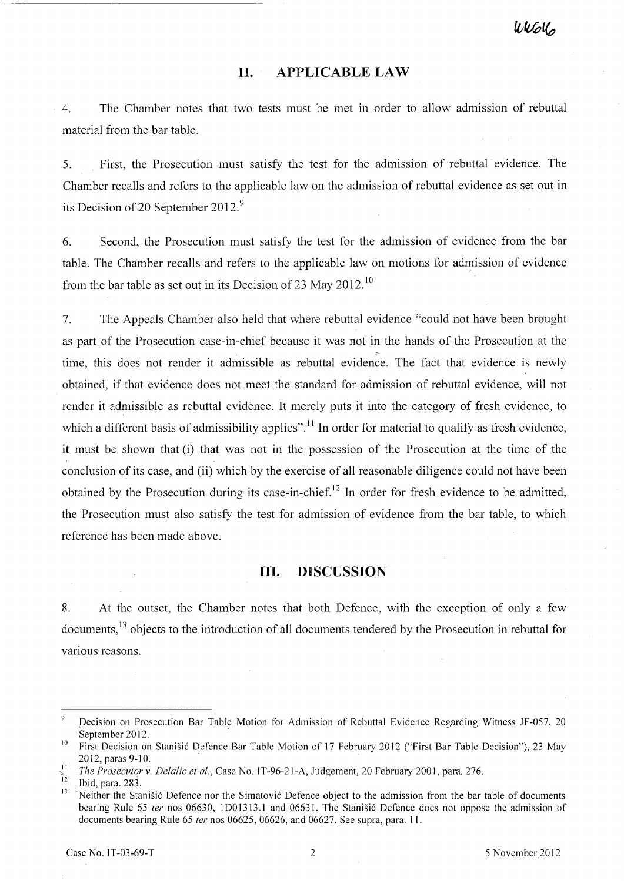## **11. APPLICABLE LAW**

4. The Chamber notes that two tests must be met in order to allow admission of rebuttal material from the bar table.

5. First, the Prosecution must satisfy the test for the admission of rebuttal evidence. The Chamber recalls and refers to the applicable law on the admission of rebuttal evidence as set out in its Decision of 20 September 2012.<sup>9</sup>

6. Second, the Prosecution must satisfy the test for the admission of evidence from the bar table. The Chamber recalls and refers to the applicable law on motions for admission of evidence from the bar table as set out in its Decision of 23 May 2012.<sup>10</sup>

7. The Appeals Chamber also held that where rebuttal evidence "could not have been brought as part of the Prosecution case-in-chief because it was not in the hands of the Prosecution at the time, this does not render it admissible as rebuttal evidence. The fact that evidence is newly obtained, if that evidence does not meet the standard for admission of rebuttal evidence, will not render it admissible as rebuttal evidence. It merely puts it into the category of fresh evidence, to which a different basis of admissibility applies".<sup>11</sup> In order for material to qualify as fresh evidence, it must be shown that (i) that was not in the possession of the Prosecution at the time of the conclusion of its case, and (ii) which by the exercise of all reasonable diligence could not have been obtained by the Prosecution during its case-in-chief.<sup>12</sup> In order for fresh evidence to be admitted, the Prosecution must also satisfy the test for admission of evidence from the bar table, to which reference has been made above.

## **In. DISCUSSION**

8. At the outset, the Chamber notes that both Defence, with the exception of only a few documents,<sup>13</sup> objects to the introduction of all documents tendered by the Prosecution in rebuttal for various reasons.

 $\overline{9}$ pecision on Prosecution Bar Table Motion for Admission of Rebuttal Evidence Regarding Witness JF-057, 20 September 2012.

<sup>&</sup>lt;sup>10</sup> First Decision on Stanišić Defence Bar Table Motion of 17 February 2012 ("First Bar Table Decision"), 23 May 2012, paras 9-10. '

<sup>&</sup>lt;sup>11</sup> *The Prosecutor v. Delalic et al.*, Case No. IT-96-21-A, Judgement, 20 February 2001, para. 276.

 $\frac{12}{13}$  Ibid, para. 283.

Neither the Stanišić Defence nor the Simatović Defence object to the admission from the bar table of documents bearing Rule 65 *ter* nos 06630, 1001313.1 and 0663l. The Stanisic Defence does not oppose the adniission of documents bearing Rule 65 *ter* nos 06625, 06626, and 06627. See supra, para. 1l.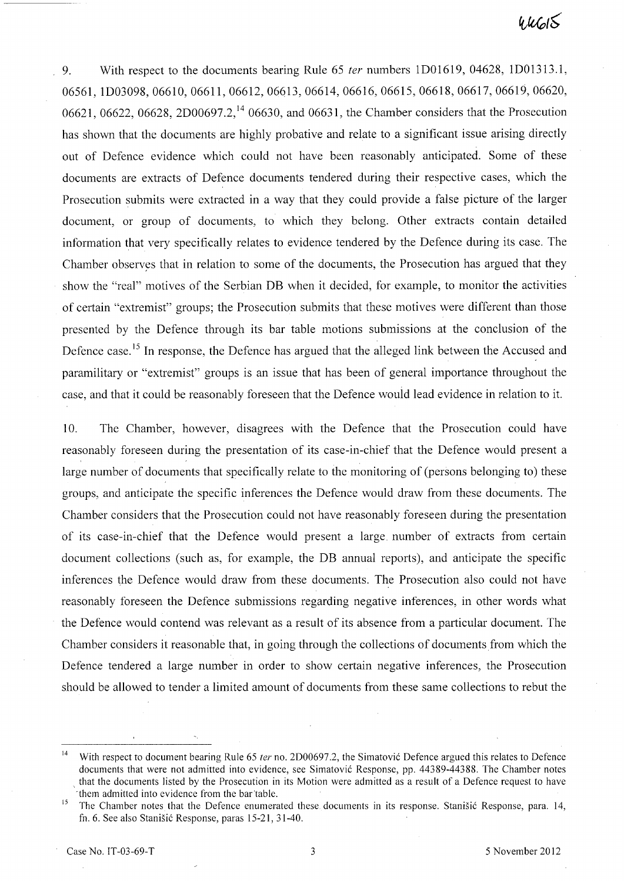9. With respect to the documents bearing Rule 65 *ter* numbers 1D01619, 04628, 1D01313.1, 06561, ID03098,06610, 06611,06612,06613,06614,06616,06615,06618,06617,06619,06620, 06621, 06622, 06628, 2D00697.2,<sup>14</sup> 06630, and 06631, the Chamber considers that the Prosecution has shown that the documents are highly probative and relate to a significant issue arising directly out of Defence evidence which could not have been reasonably anticipated. Some of these documents are extracts of Defence documents tendered during their respective cases, which the Prosecution submits were extracted in a way that they could provide a false picture of the larger document, or group of documents, to which they belong. Other extracts contain detailed information that very specifically relates to evidence tendered by the Defence during its case. The Chamber observes that in relation to some of the documents, the Prosecution has argued that they show the "real" motives of the Serbian DB when it decided, for example, to monitor the activities of certain "extremist" groups; the Prosecution submits that these motives were different than those presented by the Defence through its bar table motions submissions at the conclusion of the Defence case.<sup>15</sup> In response, the Defence has argued that the alleged link between the Accused and paramilitary or "extremist" groups is an issue that has been of general importance throughout the case, and that it could be reasonably foreseen that the Defence would lead evidence in relation to it.

10. The Chamber, however, disagrees with the Defence that the Prosecution could have reasonably foreseen during the presentation of its case-in-chief that the Defence would present a large number of documents that specifically relate to the monitoring of (persons belonging to) these groups, and anticipate the specific inferences the Defence would draw from these documents. The Chamber considers that the Prosecution could not have reasonably foreseen during the presentation of its case-in-chief that the Defence would present a large number of extracts from certain document collections (such as, for example, the DB annual reports), and anticipate the specific inferences the Defence would draw from these documents. The Prosecution also could not have reasonably foreseen the Defence submissions regarding negative inferences, in other words what the Defence would contend was relevant as a result of its absence from a particular document. The Chamber considers it reasonable that, in going through the collections of documents from which the Defence tendered a large number in order to show certain negative inferences, the Prosecution should be allowed to tender a limited amount of documents from these same collections to rebut the

<sup>&</sup>lt;sup>14</sup> With respect to document bearing Rule 65 *ter* no. 2D00697.2, the Simatović Defence argued this relates to Defence documents that were not admitted into evidence, see Simatovic Response, pp. 44389-44388. The Chamber notes that the documents listed by the Prosecution in its Motion were admitted as a result of a Defence request to have them admitted into evidence from the bar table.

<sup>&</sup>lt;sup>15</sup> The Chamber notes that the Defence enumerated these documents in its response. Stanišić Response, para. 14, fn. 6. See also Stanisic Response, paras 15-21, 31-40.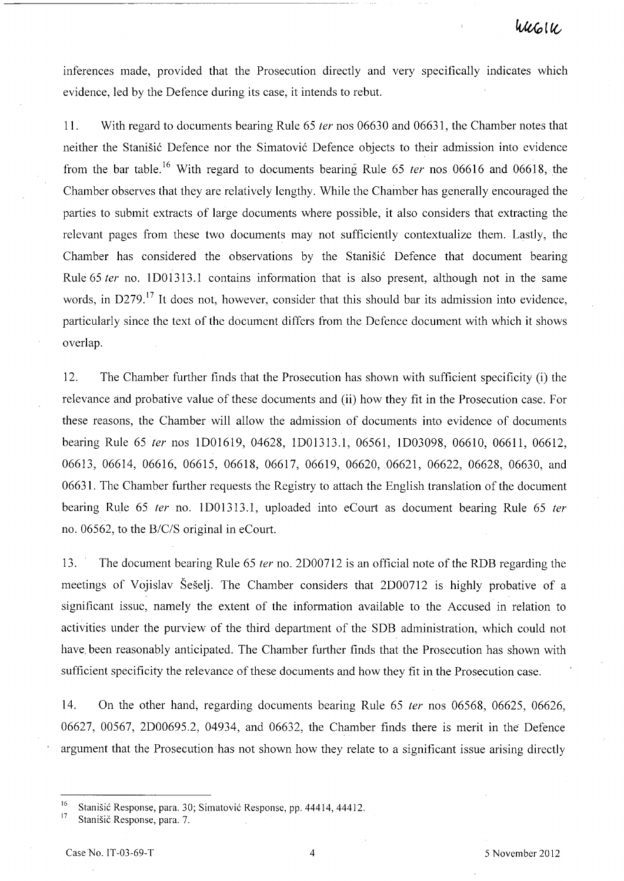inferences made, provided that the Prosecution directly and very specifically indicates which evidence, led by the Defence during its case, it intends to rebut.

11. With regard to documents bearing Rule 65 ter nos 06630 and 06631, the Chamber notes that neither the Stanišić Defence nor the Simatović Defence objects to their admission into evidence from the bar table.<sup>16</sup> With regard to documents bearing Rule 65 *ter* nos 06616 and 06618, the Chamber observes that they are relatively lengthy. While the Chamber has generally encouraged the parties to submit extracts of large documents where possible, it also considers that extracting the relevant pages from these two documents may not sufficiently contextualize them. Lastly, the Chamber has considered the observations by the Stanistic Defence that document bearing Rule 65 ter no. 1D01313.1 contains information that is also present, although not in the same words, in D279.<sup>17</sup> It does not, however, consider that this should bar its admission into evidence, particularly since the text of the document differs from the Defence document with which it shows overlap.

12. The Chamber further finds that the Prosecution has shown with sufficient specificity (i) the relevance and probative value of these documents and (ii) how they fit in the Prosecution case. For these reasons, the Chamber will allow the admission of documents into evidence of documents bearing Rule 65 *ter* nos 1D01619, 04628, 1D01313.1, 06561, 1D03098, 06610, 06611, 06612, 06613, 06614, 06616, 06615, 06618, 06617, 06619, 06620, 06621, 06622, 06628, 06630, and 06631. The Chamber further requests the Registry to attach the English translation of the document bearing Rule 65 ter no. 1 D01313.1, uploaded into eCourt as document bearing Rule 65 ter no. 06562, to the *B/C/S* original in eCourt.

13. The document bearing Rule 65 *ter* no. 2D00712 is an official note of the RDB regarding the meetings of Vojislav Seselj. The Chamber considers that 2D00712 is highly probative of a significant issue, namely the extent of the information available to the Accused in relation to activities under the purview of the third department of the SDB administration, which could not have, been reasonably anticipated. The Chamber further finds that the Prosecution has shown with sufficient specificity the relevance of these documents and how they fit in the Prosecution case.

14. On the other hand, regarding documents bearing Rule 65 ter nos 06568, 06625, 06626, 06627, 00567, 2D00695.2, 04934, and 06632, the Chamber finds there is merit in the Defence argument that the Prosecution has not shown how they relate to a significant issue arising directly

<sup>&</sup>lt;sup>16</sup> Stanišić Response, para. 30; Simatović Response, pp. 44414, 44412.<br><sup>17</sup> Stanišić Response, para. 7.

Stanišič Response, para. 7.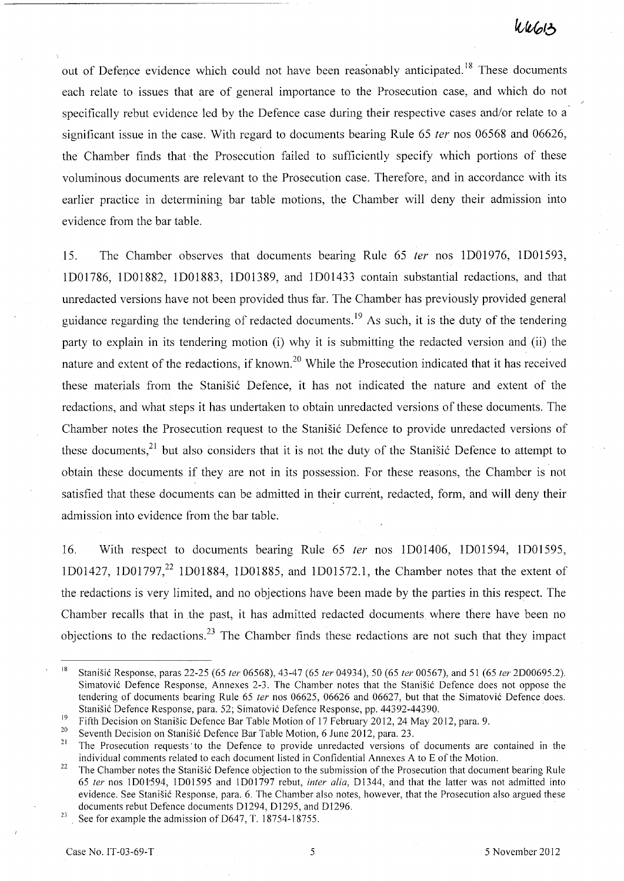out of Defence evidence which could not have been reasonably anticipated.<sup>18</sup> These documents each relate to issues that are of general importance to the Prosecution case, and which do not specifically rebut evidence led by the Defence case during their respective cases and/or relate to a significant issue in the case. With regard to documents bearing Rule 65 *ter* nos 06568 and 06626, the Chamber finds that, the Prosecution failed to sufficiently specify which portions of these voluminous documents are relevant to the Prosecution case. Therefore, and in accordance with its earlier practice in determining bar table motions, the Chamber will deny their admission into evidence from the bar table.

15. The Chamber observes that documents bearing Rule 65 fer nos ID01976, ID01593, IDOl786, ID01882, ID01883, ID01389, and ID01433 contain substantial redactions, and that umedacted versions have not been provided thus far. The Chamber has previously provided general guidance regarding the tendering of redacted documents.<sup>19</sup> As such, it is the duty of the tendering party to explain in its tendering motion (i) why it is submitting the redacted version and (ii) the nature and extent of the redactions, if known.<sup>20</sup> While the Prosecution indicated that it has received these materials from the Stanišić Defence, it has not indicated the nature and extent of the redactions, and what steps it has undertaken to obtain umedacted versions of these documents. The Chamber notes the Prosecution request to the Stanišić Defence to provide unredacted versions of these documents,<sup>21</sup> but also considers that it is not the duty of the Stanišić Defence to attempt to obtain these documents if they are not in its possession. For these reasons, the Chamber is not satisfied that these documents can be admitted in their current, redacted, form, and will deny their admission into evidence from the bar table.

16. With respect to documents bearing Rule 65 ter nos ID01406, ID01594, ID01595, 1D01427, 1D01797,<sup>22</sup> 1D01884, 1D01885, and 1D01572.1, the Chamber notes that the extent of the redactions is very limited, and no objections have been made by the parties in this respect. The Chamber recalls that in the past, it has admitted redacted documents where there have been no objections to the redactions.<sup>23</sup> The Chamber finds these redactions are not such that they impact

<sup>18</sup>Stanisic Response, paras 22-25 (65 *ter* 06568),43-47 (65 *ter* 04934),50 (65 *ter* 00567), and 51 (65 *ter* 2D00695.2). Simatovic Defence Response, Annexes 2-3. The Chamber notes that the Stanisic Defence does not oppose the tendering of documents bearing Rule 65 *ter* nos 06625, 06626 and 06627, but that the Simatovic Defence does. Stanisic Defence Response, para. 52; Simatovic Defence Response, pp. 44392-44390.

<sup>&</sup>lt;sup>19</sup>Fifth Decision on Stanisic Defence Bar Table Motion of 17 February 2012, 24 May 2012, para. 9.

<sup>&</sup>lt;sup>20</sup> Seventh Decision on Stanišić Defence Bar Table Motion, 6 June 2012, para. 23.<br><sup>21</sup> The Bresseutien requests to the Defence to provide unpededed versions a

<sup>21</sup> The Prosecution requests' to the Qefence to provide unredacted versions of documents are contained in the individual comments related to each document listed in Confidential Annexes A to E of the Motion.

<sup>&</sup>lt;sup>22</sup> The Chamber notes the Stanišić Defence objection to the submission of the Prosecution that document bearing Rule *65 ter* nos 1 DO 1'594, 1 DO 1595 and IDO 1797 rebut, *inter alia,* D 1344, and that the latter was not admitted into evidence. See Stanisic Response, para. 6. The Chamber also notes, however, that the Prosecution also argued these documents rebut Defence documents D1294, D1295, and D1296.

<sup>&</sup>lt;sup>23</sup> See for example the admission of D647, T. 18754-18755.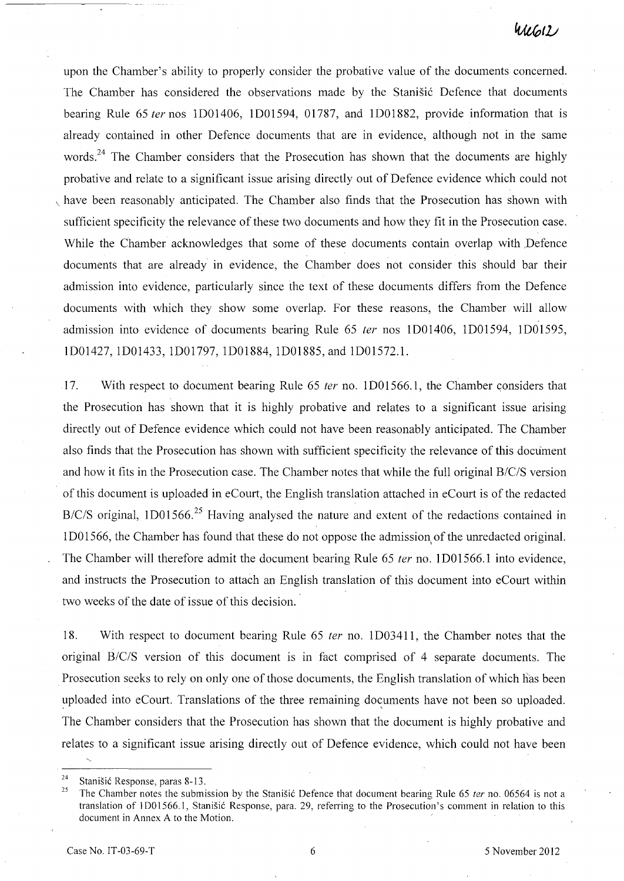upon the Chamber's ability to properly consider the probative value of the documents concerned. The Chamber has considered the observations made by the Stanisic Defence that documents bearing Rule 65 fer nos ID01406, ID01594, 01787, and ID01882, provide information that is already contained in other Defence documents that are in evidence, although not in the same words.<sup>24</sup> The Chamber considers that the Prosecution has shown that the documents are highly probative and relate to a significant issue arising directly out of Defence evidence which could not have been reasonably anticipated. The Chamber also finds that the Prosecution has shown with sufficient specificity the relevance of these two documents and how they fit in the Prosecution case. While the Chamber acknowledges that some of these documents contain overlap with ,Defence documents that are already in evidence, the Chamber does not consider this should bar their admission into evidence, particularly since the text of these documents differs from the Defence documents with which they show some overlap. For these reasons, the Chamber will allow admission into evidence of documents bearing Rule 65 fer nos ID01406, ID01594, ID01595, ID01427, ID01433, ID01797, ID01884, ID01885, and IDOI572.1.

17. With respect to document bearing Rule 65 fer no. IDOI566.1, the Chamber considers that the Prosecution has shown that it is highly probative and relates to a significant issue arising directly out of Defence evidence which could not have been reasonably anticipated. The Chamber also finds that the Prosecution has shown with sufficient specificity the relevance of this document and how it fits in the Prosecution case. The Chamber notes that while the full original *B/C/S* version of this document is uploaded in eCourt, the English translation attached in eCourt is of the redacted *B/C/S* original, 1D01566.<sup>25</sup> Having analysed the nature and extent of the redactions contained in 1 D01566, the Chamber has found that these do not oppose the admission of the unredacted original. The Chamber will therefore admit the document bearing Rule 65 ter no. 1D01566.1 into evidence, and instructs the Prosecution to attach an English translation of this document into eCourt within two weeks of the date of issue of this decision.

18. With respect to document bearing Rule 65 fer no. ID03411, the Chamber notes that the original *B/C/S* version of this document is in fact comprised of 4 separate documents. The . Prosecution seeks to rely on only one of those documents, the English translation of which has been uploaded into eCourt. Translations of the three remaining documents have not been so uploaded. The Chamber considers that the Prosecution has shown that the document is highly probative and relates to a significant issue arising directly out of Defence evidence, which could not have been

<sup>&</sup>lt;sup>24</sup> Stanišić Response, paras 8-13.

The Chamber notes the submission by the Stanisić Defence that document bearing Rule 65 ter no. 06564 is not a translation of 1D01566.1, Stanišić Response, para. 29, referring to the Prosecution's comment in relation to this document in Annex A to the Motion.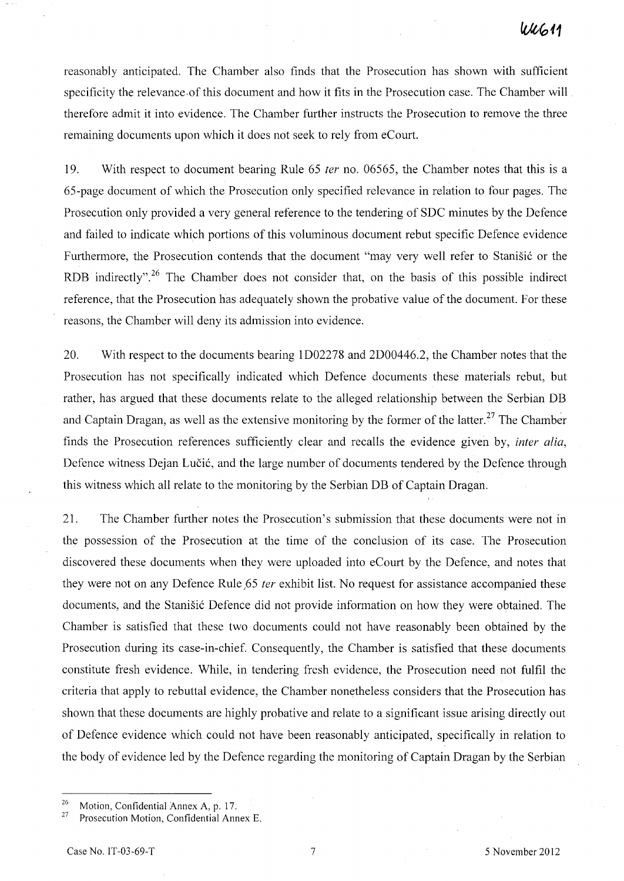reasonably anticipated. The Chamber also finds that the Prosecution has shown with sufficient specificity the relevance of this document and how it fits in the Prosecution case. The Chamber will therefore admit it into evidence. The Chamber further instructs the Prosecution to remove the three remaining documents upon which it does not seek to rely from eCourt.

19. With respect to document bearing Rule 65 *ter* no. 06565, the Chamber notes that this is a 65-page document of which the Prosecution only specified relevance in relation to four pages. The Prosecution only provided a very general reference to the tendering of SDC minutes by the Defence and failed to indicate which portions of this voluminous document rebut specific Defence evidence Furthermore, the Prosecution contends that the document "may very well refer to Stanišić or the RDB indirectly".<sup>26</sup> The Chamber does not consider that, on the basis of this possible indirect reference, that the Prosecution has adequately shown the probative value of the document. For these reasons, the Chamber will deny its admission into evidence.

20. With respect to the documents bearing ID02278 and 2D00446.2, the Chamber notes that the Prosecution has not specifically indicated which Defence documents these materials rebut, but rather, has argued that these documents relate to the alleged relationship between the Serbian DB and Captain Dragan, as well as the extensive monitoring by the former of the latter.<sup>27</sup> The Chamber finds the Prosecution references sufficiently clear and recalls the evidence given by, *inter alia,*  Defence witness Dejan Lučić, and the large number of documents tendered by the Defence through this witness which all relate to the monitoring by the Serbian DB of Captain Dragan.

21. The Chamber further notes the Prosecution's submission that these documents were not in the possession of the Prosecution at the time of the conclusion of its case. The Prosecution discovered these documents when they were uploaded into eCourt by the Defence, and notes that they were not on any Defence Rule ,65 *ter* exhibit list. No request for assistance accompanied these documents, and the Stanišić Defence did not provide information on how they were obtained. The Chamber is satisfied that these two documents could not have reasonably been obtained by the Prosecution during its case-in-chief. Consequently, the Chamber is satisfied that these documents constitute fresh evidence. While, in tendering fresh evidence, the Prosecution need not fulfil the criteria that apply to rebuttal evidence, the Chamber nonetheless considers that the Prosecution has shown that these documents are highly probative and relate to a significant issue arising directly out of Defence evidence which could not have been reasonably anticipated, specifically in relation to the body of evidence led by the Defence regarding the monitoring of Captain Dragan by the Serbian

<sup>&</sup>lt;sup>26</sup> Motion, Confidential Annex A, p. 17.

Prosecution Motion, Confidential Annex E.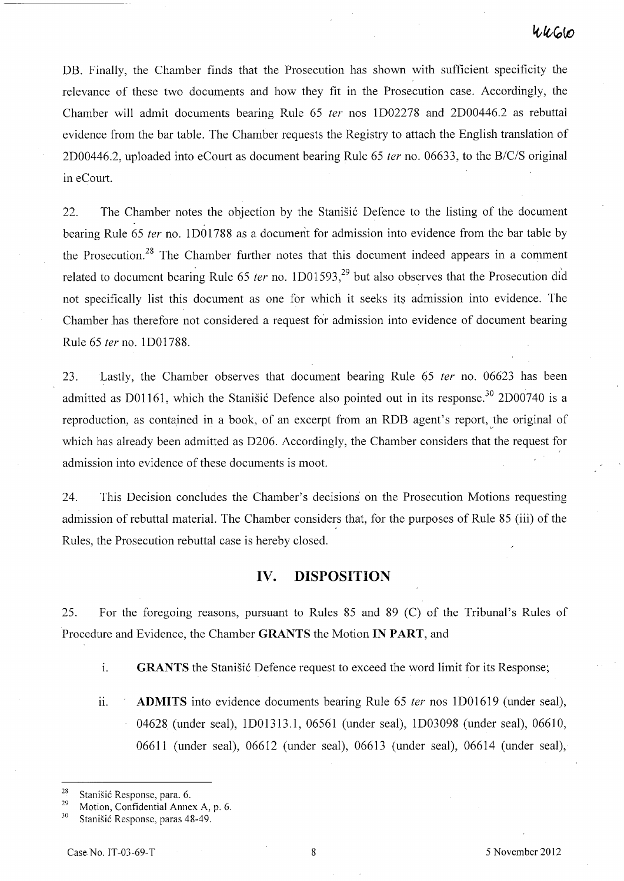# $4460$

DB. Finally, the Chamber finds that the Prosecution has shown with sufficient specificity the relevance of these two documents and how they fit in the Prosecution case. Accordingly, the Chamber will admit documents bearing Rule 65 fer nos ID02278 and 2D00446.2 as rebuttal evidence from the bar table. The Chamber requests the Registry to attach the English translation of 2D00446.2, uploaded into eCourt as document bearing Rule 65 ter no. 06633, to the *B/C/S* original in eCourt.

22. The Chamber notes the objection by the Stanistic Defence to the listing of the document bearing Rule 65 *ter* no. 1D01788 as a document for admission into evidence from the bar table by the Prosecution.<sup>28</sup> The Chamber further notes that this document indeed appears in a comment related to document bearing Rule 65 ter no. 1D01593,<sup>29</sup> but also observes that the Prosecution did not specifically list this document as one for which it seeks its admission into evidence. The Chamber has therefore not considered a request for admission into evidence of document bearing Rule 65 fer no. 1D01788.

23. Lastly, the Chamber observes that document bearing Rule 65 ter no. 06623 has been admitted as D01161, which the Stanišić Defence also pointed out in its response.<sup>30</sup> 2D00740 is a reproduction, as contained in a book, of an excerpt from an RDB agent's report, the original of which has already been admitted as D206. Accordingly, the Chamber considers that the request for admission into evidence of these documents is moot.

24. This Decision concludes the Chamber's decisions on the Prosecution Motions requesting admission of rebuttal material. The Chamber considers that, for the purposes of Rule 85 (iii) of the Rules, the Prosecution rebuttal case is hereby closed.

## **IV. DISPOSITION**

25. For the foregoing reasons, pursuant to Rules 85 and 89 (C) of the Tribunal's Rules of Procedure and Evidence, the Chamber **GRANTS** the Motion **IN PART,** and

1. **GRANTS** the Stanisic Defence request to exceed the word limit for its Response;

ii. **ADMITS** into evidence documents bearing Rule 65 ter nos 1D01619 (under seal), 04628 (under seal), 1D01313.1, 06561 (under seal), 1D03098 (under seal), 06610, 06611 (under seal), 06612 (under seal), 06613 (under seal), 06614 (under seal),

<sup>&</sup>lt;sup>28</sup> Stanišić Response, para. 6.<br><sup>29</sup> Matian Gangdantial Arms

<sup>&</sup>lt;sup>29</sup> Motion, Confidential Annex A, p. 6.<br><sup>30</sup> C. W. R

Stanišić Response, paras 48-49.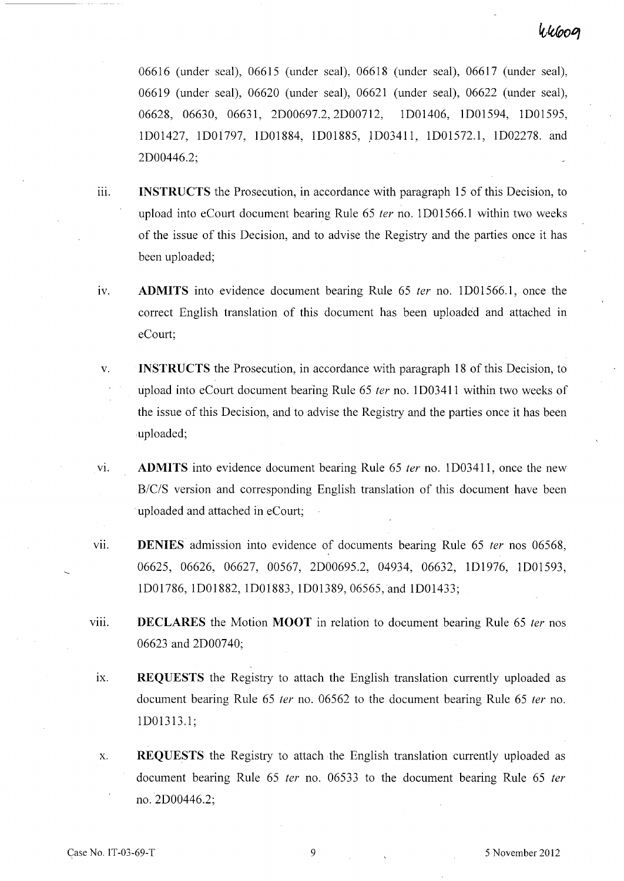# 44609

06616 (under seal), 06615 (under seal), 06618 (under seal), 06617 (under seal), 06619 (under seal), 06620 (under seal), 06621 (under seal), 06622 (under seal), 06628, 06630, 06631, 2D00697.2,2D00712, ID01406, ID01594, 1D01595, ID01427, ID01797, ID01884, 1D01885, JD03411, 1DOI572.1, ID02278. and 2D00446.2;

- iii. **INSTRUCTS** the Prosecution, in accordance with paragraph 15 of this Decision, to upload into eCourt document bearing Rule 65 *ter* no. 1D01566.1 within two weeks of the issue of this Decision, and to advise the Registry and the parties once it has been uploaded;
- iv. **ADMITS** into evidence document bearing Rule 65 *ter* no. 1D01566.1, once the correct English translation of this document has been uploaded and attached in eCourt;
- v. **INSTRUCTS** the Prosecution, in accordance with paragraph 18 of this Decision, to upload into eCourt document bearing Rule 65 *ter* no. ID03411 within two weeks of the issue of this Decision, and to advise the Registry and the parties once it has been ,uploaded;
- vi. **ADMITS** into evidence document bearing Rule 65 *ter* no. 1 D03411, once the new *B/C/S* version and corresponding English translation of this document have been . uploaded and attached in eCourt;
- vii. **DENIES** admission into evidence of documents bearing Rule 65 *ter* nos 06568, 06625, 06626, 06627, 00567, 2D00695.2, 04934, 06632, ID1976, ID01593, ID01786, 1D01882, 1D01883, ID01389, 06565,and ID01433;
- viii. **DECLARES** the Motion **MOOT** in relation to document bearing Rule 65 *ter* nos 06623 and 2D00740;
- ix. **REQUESTS** the Registry to attach the English translation currently uploaded as document bearing Rule 65 *ter* no. 06562 to the document bearing Rule 65 *ter* no. 1D01313.1 ;
- X. **REQUESTS** the Registry to attach the English translation currently uploaded as document bearing Rule 65 *ter* no. 06533 to the document bearing Rule 65 *ter*  no. 2D00446.2;